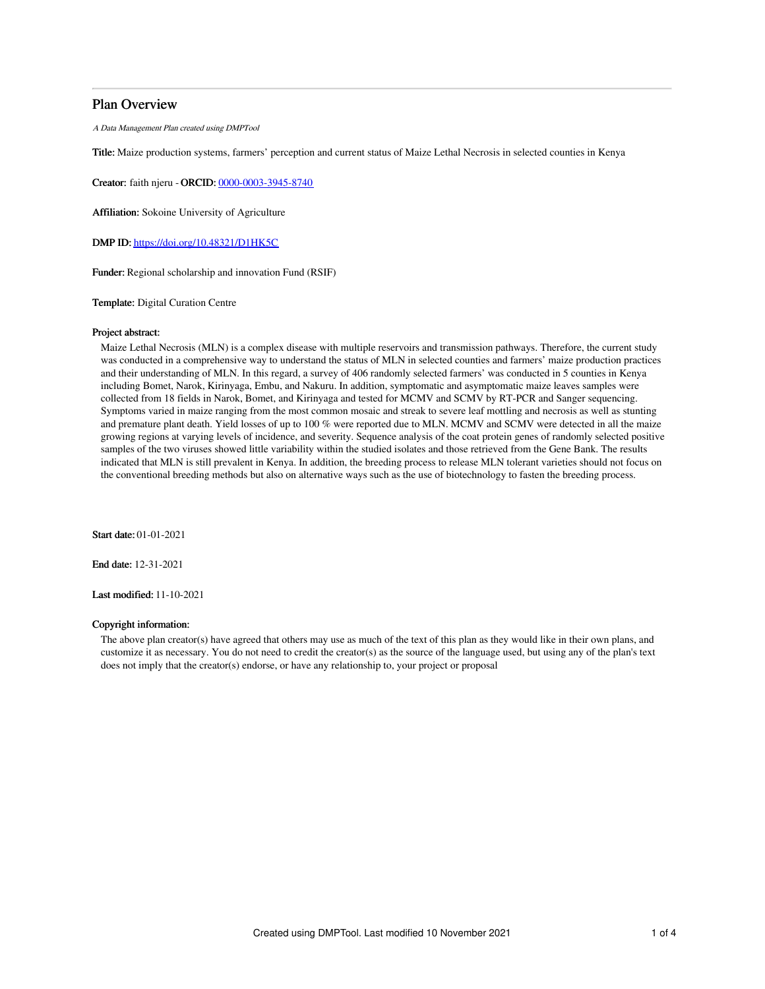# Plan Overview

A Data Management Plan created using DMPTool

Title: Maize production systems, farmers' perception and current status of Maize Lethal Necrosis in selected counties in Kenya

Creator: faith njeru - ORCID: [0000-0003-3945-8740](https://orcid.org/0000-0003-3945-8740)

Affiliation: Sokoine University of Agriculture

DMP ID: <https://doi.org/10.48321/D1HK5C>

Funder: Regional scholarship and innovation Fund (RSIF)

Template: Digital Curation Centre

## Project abstract:

Maize Lethal Necrosis (MLN) is a complex disease with multiple reservoirs and transmission pathways. Therefore, the current study was conducted in a comprehensive way to understand the status of MLN in selected counties and farmers' maize production practices and their understanding of MLN. In this regard, a survey of 406 randomly selected farmers' was conducted in 5 counties in Kenya including Bomet, Narok, Kirinyaga, Embu, and Nakuru. In addition, symptomatic and asymptomatic maize leaves samples were collected from 18 fields in Narok, Bomet, and Kirinyaga and tested for MCMV and SCMV by RT-PCR and Sanger sequencing. Symptoms varied in maize ranging from the most common mosaic and streak to severe leaf mottling and necrosis as well as stunting and premature plant death. Yield losses of up to 100 % were reported due to MLN. MCMV and SCMV were detected in all the maize growing regions at varying levels of incidence, and severity. Sequence analysis of the coat protein genes of randomly selected positive samples of the two viruses showed little variability within the studied isolates and those retrieved from the Gene Bank. The results indicated that MLN is still prevalent in Kenya. In addition, the breeding process to release MLN tolerant varieties should not focus on the conventional breeding methods but also on alternative ways such as the use of biotechnology to fasten the breeding process.

Start date: 01-01-2021

End date: 12-31-2021

Last modified: 11-10-2021

## Copyright information:

The above plan creator(s) have agreed that others may use as much of the text of this plan as they would like in their own plans, and customize it as necessary. You do not need to credit the creator(s) as the source of the language used, but using any of the plan's text does not imply that the creator(s) endorse, or have any relationship to, your project or proposal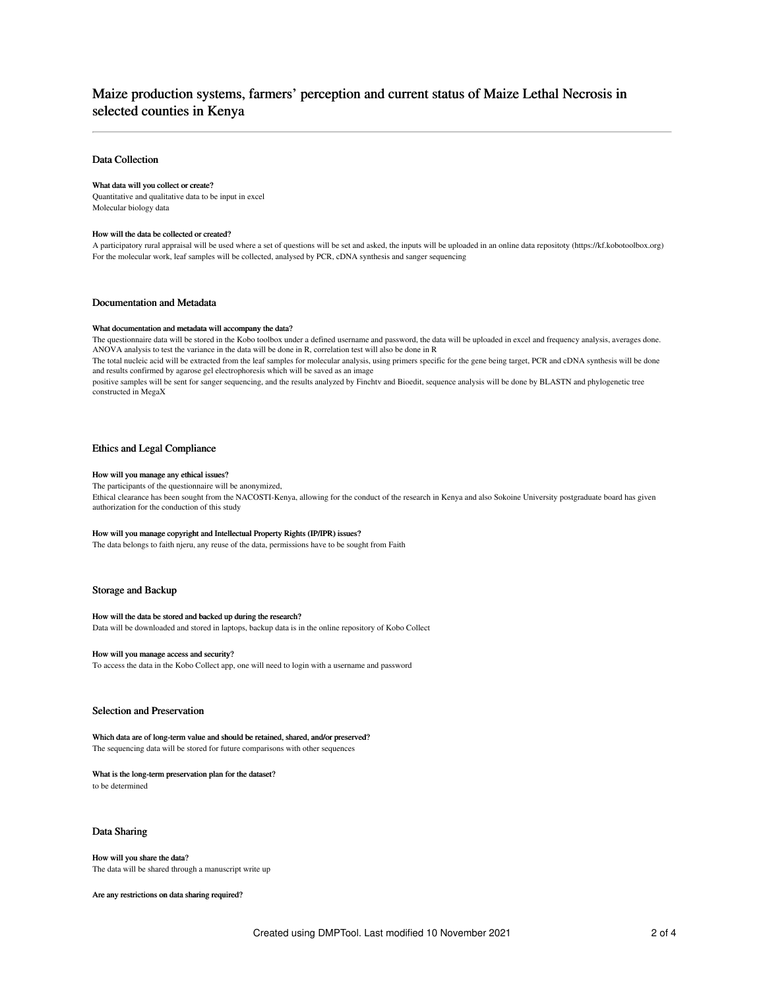# Maize production systems, farmers' perception and current status of Maize Lethal Necrosis in selected counties in Kenya

## Data Collection

## What data will you collect or create?

Quantitative and qualitative data to be input in excel Molecular biology data

#### How will the data be collected or created?

A participatory rural appraisal will be used where a set of questions will be set and asked, the inputs will be uploaded in an online data repositoty (https://kf.kobotoolbox.org) For the molecular work, leaf samples will be collected, analysed by PCR, cDNA synthesis and sanger sequencing

## Documentation and Metadata

## What documentation and metadata will accompany the data?

The questionnaire data will be stored in the Kobo toolbox under a defined username and password, the data will be uploaded in excel and frequency analysis, averages done. ANOVA analysis to test the variance in the data will be done in R, correlation test will also be done in R

The total nucleic acid will be extracted from the leaf samples for molecular analysis, using primers specific for the gene being target, PCR and cDNA synthesis will be done and results confirmed by agarose gel electrophoresis which will be saved as an image

positive samples will be sent for sanger sequencing, and the results analyzed by Finchtv and Bioedit, sequence analysis will be done by BLASTN and phylogenetic tree constructed in MegaX

## Ethics and Legal Compliance

## How will you manage any ethical issues?

#### The participants of the questionnaire will be anonymized,

Ethical clearance has been sought from the NACOSTI-Kenya, allowing for the conduct of the research in Kenya and also Sokoine University postgraduate board has given authorization for the conduction of this study

#### How will you manage copyright and Intellectual Property Rights (IP/IPR) issues?

The data belongs to faith njeru, any reuse of the data, permissions have to be sought from Faith

## Storage and Backup

## How will the data be stored and backed up during the research?

Data will be downloaded and stored in laptops, backup data is in the online repository of Kobo Collect

#### How will you manage access and security?

To access the data in the Kobo Collect app, one will need to login with a username and password

#### Selection and Preservation

Which data are of long-term value and should be retained, shared, and/or preserved? The sequencing data will be stored for future comparisons with other sequences

## What is the long-term preservation plan for the dataset?

to be determined

## Data Sharing

How will you share the data? The data will be shared through a manuscript write up

Are any restrictions on data sharing required?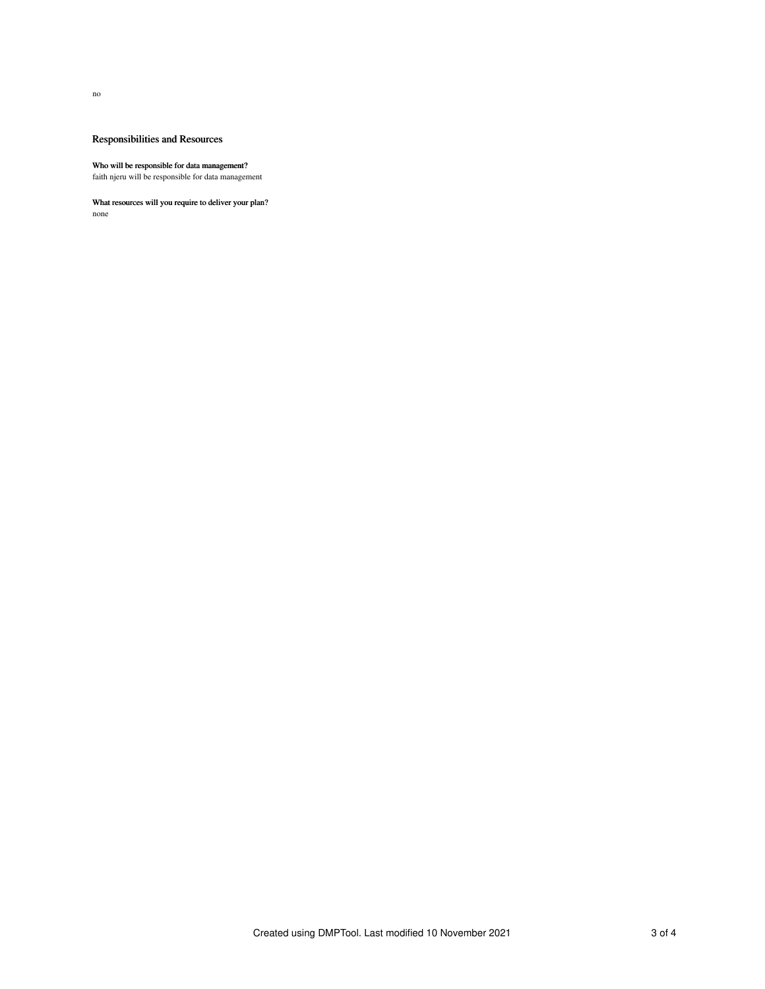no

# Responsibilities and Resources

#### Who will be responsible for data management?

faith njeru will be responsible for data management

## What resources will you require to deliver your plan?

none